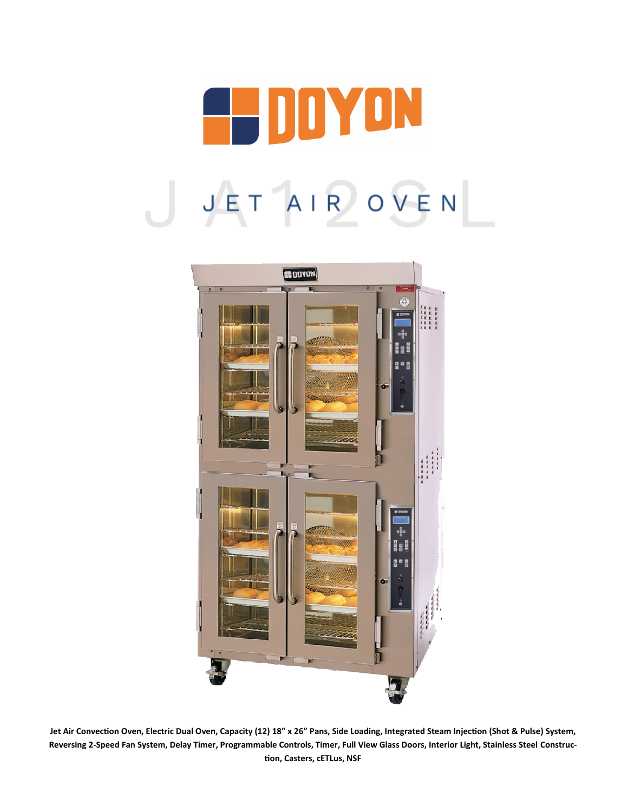



**Jet Air Convection Oven, Electric Dual Oven, Capacity (12) 18" x 26" Pans, Side Loading, Integrated Steam Injection (Shot & Pulse) System, Reversing 2-Speed Fan System, Delay Timer, Programmable Controls, Timer, Full View Glass Doors, Interior Light, Stainless Steel Construction, Casters, cETLus, NSF**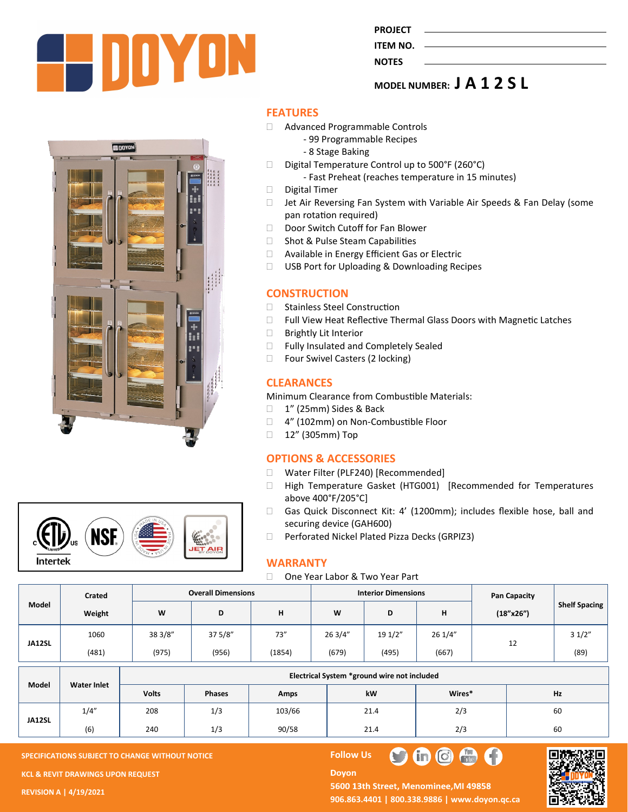

| <b>ROJE</b> |
|-------------|
|-------------|

#### **ITEM NO. NOTES**

**MODEL NUMBER: J A 1 2 S L**





### **FEATURES**

- Advanced Programmable Controls
	- 99 Programmable Recipes
	- 8 Stage Baking
- $\Box$  Digital Temperature Control up to 500°F (260°C)
	- Fast Preheat (reaches temperature in 15 minutes)
- Digital Timer
- □ Jet Air Reversing Fan System with Variable Air Speeds & Fan Delay (some pan rotation required)
- Door Switch Cutoff for Fan Blower
- □ Shot & Pulse Steam Capabilities
- □ Available in Energy Efficient Gas or Electric
- □ USB Port for Uploading & Downloading Recipes

## **CONSTRUCTION**

- □ Stainless Steel Construction
- □ Full View Heat Reflective Thermal Glass Doors with Magnetic Latches
- □ Brightly Lit Interior
- □ Fully Insulated and Completely Sealed
- □ Four Swivel Casters (2 locking)

# **CLEARANCES**

Minimum Clearance from Combustible Materials:

- 1" (25mm) Sides & Back
- □ 4" (102mm) on Non-Combustible Floor
- □ 12" (305mm) Top

### **OPTIONS & ACCESSORIES**

- □ Water Filter (PLF240) [Recommended]
- High Temperature Gasket (HTG001) [Recommended for Temperatures above 400°F/205°C]
- Gas Quick Disconnect Kit: 4' (1200mm); includes flexible hose, ball and securing device (GAH600)
- □ Perforated Nickel Plated Pizza Decks (GRPIZ3)

### **WARRANTY**

#### □ One Year Labor & Two Year Part

**Doyon** 

|        | Crated | <b>Overall Dimensions</b> |         |        | <b>Interior Dimensions</b> |         |         | Pan Capacity |                      |
|--------|--------|---------------------------|---------|--------|----------------------------|---------|---------|--------------|----------------------|
| Model  | Weight | W                         | ш       | н      | W                          | D<br>υ  |         | (18"x26")    | <b>Shelf Spacing</b> |
| JA12SL | 1060   | 38 3/8"                   | 37 5/8" | 73''   | 263/4"                     | 19 1/2" | 26 1/4" | 12           | 31/2"                |
|        | (481)  | (975)                     | (956)   | (1854) | (679)                      | (495)   | (667)   |              | (89)                 |

| Model  | <b>Water Inlet</b> | Electrical System *ground wire not included |               |        |      |        |    |  |  |
|--------|--------------------|---------------------------------------------|---------------|--------|------|--------|----|--|--|
|        |                    | <b>Volts</b>                                | <b>Phases</b> | Amps   | kW   | Wires* | Hz |  |  |
| JA12SL | 1/4"               | 208                                         | 1/3           | 103/66 | 21.4 | 2/3    | 60 |  |  |
|        | (6)                | 240                                         | 1/3           | 90/58  | 21.4 | 2/3    | 60 |  |  |

**SPECIFICATIONS SUBJECT TO CHANGE WITHOUT NOTICE FOLLOW US** 

**KCL & REVIT DRAWINGS UPON REQUEST** 

**REVISION A | 4/19/2021**

5600 13th Street, Menominee, MI 49858 **906.863.4401 | 800.338.9886 | [www.doyon.qc.ca](http://www.doyon.qc.ca/)**

 $\bullet$